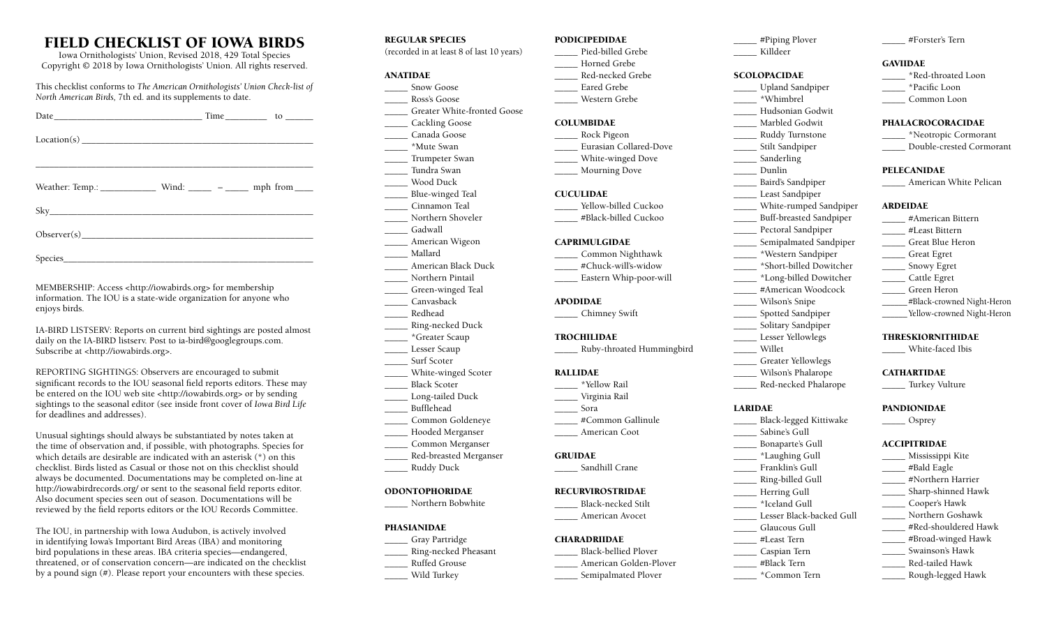# FIELD CHECKLIST OF IOWA BIRDS

Iowa Ornithologists' Union, Revised 2018, 429 Total Species Copyright © 2018 by Iowa Ornithologists' Union. All rights reserved.

This checklist conforms to *The American Ornithologists' Union Check-list of North American Birds,* 7th ed. and its supplements to date.

| Date $\qquad \qquad$ Time $\qquad \qquad$ to $\qquad \qquad$ |  |
|--------------------------------------------------------------|--|
|                                                              |  |
|                                                              |  |
|                                                              |  |
|                                                              |  |
|                                                              |  |
|                                                              |  |
| Observer(s)                                                  |  |
|                                                              |  |

Species\_\_\_\_\_\_\_\_\_\_\_\_\_\_\_\_\_\_\_\_\_\_\_\_\_\_\_\_\_\_\_\_\_\_\_\_\_\_\_\_\_\_\_\_\_\_\_\_\_\_\_\_\_\_

MEMBERSHIP: Access <http://iowabirds.org> for membership information. The IOU is a state-wide organization for anyone who enjoys birds.

IA-BIRD LISTSERV: Reports on current bird sightings are posted almost daily on the IA-BIRD listserv. Post to ia-bird@googlegroups.com. Subscribe at <http://iowabirds.org>.

REPORTING SIGHTINGS: Observers are encouraged to submit significant records to the IOU seasonal field reports editors. These may be entered on the IOU web site <http://iowabirds.org> or by sending sightings to the seasonal editor (see inside front cover of *Iowa Bird Life* for deadlines and addresses).

Unusual sightings should always be substantiated by notes taken at the time of observation and, if possible, with photographs. Species for which details are desirable are indicated with an asterisk (\*) on this checklist. Birds listed as Casual or those not on this checklist should always be documented. Documentations may be completed on-line at http://iowabirdrecords.org/ or sent to the seasonal field reports editor. Also document species seen out of season. Documentations will be reviewed by the field reports editors or the IOU Records Committee.

The IOU, in partnership with Iowa Audubon, is actively involved in identifying Iowa's Important Bird Areas (IBA) and monitoring bird populations in these areas. IBA criteria species––endangered, threatened, or of conservation concern––are indicated on the checklist by a pound sign (#). Please report your encounters with these species.

# REGULAR SPECIES

(recorded in at least 8 of last 10 years)

#### ANATIDAE

- \_\_\_\_\_ Snow Goose
- \_\_\_\_\_ Ross's Goose \_\_\_\_\_ Greater White-fronted Goose
- \_\_\_\_\_ Cackling Goose
- \_\_\_\_\_ Canada Goose
- \_\_\_\_\_ \*Mute Swan
- \_\_\_\_\_ Trumpeter Swan
- \_\_\_\_\_ Tundra Swan
- \_\_\_\_\_ Wood Duck
- \_\_\_\_\_ Blue-winged Teal
- \_\_\_\_\_ Cinnamon Teal
- Northern Shoveler
- \_\_\_\_\_ Gadwall
- \_\_\_\_\_ American Wigeon
- \_\_\_\_\_ Mallard
- \_\_\_\_\_ American Black Duck
- \_\_\_\_\_ Northern Pintail \_\_\_\_\_ Green-winged Teal
- \_\_\_\_\_ Canvasback
- \_\_\_\_\_ Redhead
- \_\_\_\_\_ Ring-necked Duck
- \_\_\_\_\_ \*Greater Scaup
- \_\_\_\_\_ Lesser Scaup
- Surf Scoter
- \_\_\_\_\_ White-winged Scoter
- \_\_\_\_\_ Black Scoter
- \_\_\_\_\_ Long-tailed Duck \_\_\_\_\_ Bufflehead
- 
- \_\_\_\_\_ Common Goldeneye \_\_\_\_\_ Hooded Merganser
- \_\_\_\_\_ Common Merganser
- \_\_\_\_\_ Red-breasted Merganser
- \_\_\_\_\_ Ruddy Duck

#### ODONTOPHORIDAE

\_\_\_\_\_ Northern Bobwhite

#### PHASIANIDAE

- \_\_\_\_\_ Gray Partridge
- \_\_\_\_\_ Ring-necked Pheasant
- \_\_\_\_\_ Ruffed Grouse
- \_\_\_\_\_ Wild Turkey

#### PODICIPEDIDAE

- Pied-billed Grebe \_\_\_\_\_ Horned Grebe
- \_\_\_\_\_ Red-necked Grebe
- Eared Grebe
- \_\_\_\_\_ Western Grebe

#### COLUMBIDAE

- \_\_\_\_\_ Rock Pigeon
- \_\_\_\_\_ Eurasian Collared-Dove
- \_\_\_\_\_ White-winged Dove \_\_\_\_\_ Mourning Dove
- 

#### **CUCULIDAE**

- Yellow-billed Cuckoo
- \_\_\_\_\_ #Black-billed Cuckoo

#### CAPRIMULGIDAE

- \_\_\_\_\_ Common Nighthawk #Chuck-will's-widow
	- \_\_\_\_\_ Eastern Whip-poor-will

#### APODIDAE

\_\_\_\_\_ Chimney Swift

#### TROCHILIDAE

\_\_\_\_\_ Ruby-throated Hummingbird

#### RALLIDAE

- \_\_\_\_\_ \*Yellow Rail \_\_\_\_\_ Virginia Rail
- \_\_\_\_\_ Sora
- \_\_\_\_\_ #Common Gallinule
- \_\_\_\_\_ American Coot

#### GRUIDAE

Sandhill Crane

#### RECURVIROSTRIDAE

\_\_\_\_\_ Black-necked Stilt \_\_\_\_\_ American Avocet

# CHARADRIIDAE

- \_\_\_\_\_ Black-bellied Plover
- \_\_\_\_\_ American Golden-Plover
	- \_\_\_\_\_ Semipalmated Plover

\_\_\_\_\_ #Piping Plover \_\_\_\_\_ Killdeer

\_\_\_\_\_ #Forster's Tern

\_\_\_\_\_ \*Red-throated Loon \_\_\_\_\_ \*Pacific Loon \_\_\_\_\_ Common Loon PHALACROCORACIDAE \_\_\_\_\_ \*Neotropic Cormorant \_\_\_\_\_ Double-crested Cormorant

\_\_\_\_\_ American White Pelican

\_\_\_\_\_\_ #Black-crowned Night-Heron \_\_\_\_\_\_Yellow-crowned Night-Heron

THRESKIORNITHIDAE \_\_\_\_\_ White-faced Ibis

**CATHARTIDAE** \_\_\_\_\_ Turkey Vulture

PANDIONIDAE  $\_\_$  Osprey ACCIPITRIDAE \_\_\_\_\_ Mississippi Kite \_\_\_\_\_ #Bald Eagle \_\_\_\_\_ #Northern Harrier \_\_\_\_\_ Sharp-shinned Hawk \_\_\_\_\_ Cooper's Hawk \_\_\_\_\_ Northern Goshawk \_\_\_\_\_ #Red-shouldered Hawk \_\_\_\_\_ #Broad-winged Hawk \_\_\_\_\_ Swainson's Hawk \_\_\_\_\_ Red-tailed Hawk \_\_\_\_\_ Rough-legged Hawk

\_\_\_\_\_ #American Bittern \_\_\_\_\_ #Least Bittern \_\_\_\_\_ Great Blue Heron \_\_\_\_\_ Great Egret \_\_\_\_\_ Snowy Egret \_\_\_\_\_ Cattle Egret \_\_\_\_\_ Green Heron

**GAVIIDAE** 

PELECANIDAE

ARDEIDAE

# **SCOLOPACIDAE**

- \_\_\_\_\_ Upland Sandpiper
- \_\_\_\_\_ \*Whimbrel
- \_\_\_\_\_ Hudsonian Godwit
- \_\_\_\_\_ Marbled Godwit
- \_\_\_\_\_ Ruddy Turnstone \_\_\_\_\_ Stilt Sandpiper
- Sanderling
- \_\_\_\_\_ Dunlin
- \_\_\_\_\_ Baird's Sandpiper
- \_\_\_\_\_ Least Sandpiper
- \_\_\_\_\_ White-rumped Sandpiper
- \_\_\_\_\_ Buff-breasted Sandpiper
	- \_\_\_\_\_ Pectoral Sandpiper
	- \_\_\_\_\_ Semipalmated Sandpiper
- \_\_\_\_\_ \*Western Sandpiper
- \_\_\_\_\_ \*Short-billed Dowitcher \_\_\_\_\_ \*Long-billed Dowitcher

\_\_\_\_\_ Greater Yellowlegs \_\_\_\_\_ Wilson's Phalarope \_\_\_\_\_ Red-necked Phalarope

\_\_\_\_\_ Black-legged Kittiwake \_\_\_\_\_ Sabine's Gull \_\_\_\_\_ Bonaparte's Gull \_\_\_\_\_ \*Laughing Gull \_\_\_\_\_ Franklin's Gull \_\_\_\_\_ Ring-billed Gull \_\_\_\_\_ Herring Gull \_\_\_\_\_ \*Iceland Gull Lesser Black-backed Gull \_\_\_\_\_ Glaucous Gull \_\_\_\_\_ #Least Tern \_\_\_\_\_ Caspian Tern \_\_\_\_\_ #Black Tern \_\_\_\_\_ \*Common Tern

LARIDAE

\_\_\_\_\_ #American Woodcock \_\_\_\_\_ Wilson's Snipe \_\_\_\_\_ Spotted Sandpiper \_\_\_\_\_ Solitary Sandpiper Lesser Yellowlegs \_\_\_\_\_ Willet